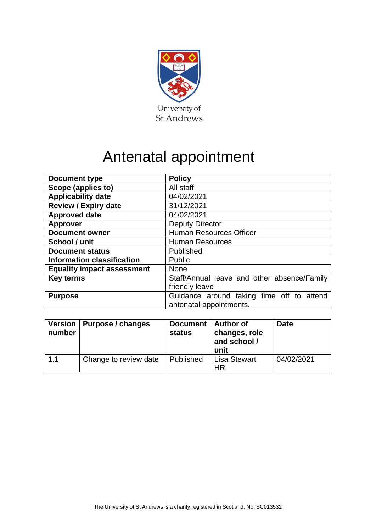

# Antenatal appointment

| <b>Document type</b>              | <b>Policy</b>                                                        |  |
|-----------------------------------|----------------------------------------------------------------------|--|
| Scope (applies to)                | All staff                                                            |  |
| <b>Applicability date</b>         | 04/02/2021                                                           |  |
| <b>Review / Expiry date</b>       | 31/12/2021                                                           |  |
| <b>Approved date</b>              | 04/02/2021                                                           |  |
| <b>Approver</b>                   | <b>Deputy Director</b>                                               |  |
| <b>Document owner</b>             | <b>Human Resources Officer</b>                                       |  |
| School / unit                     | <b>Human Resources</b>                                               |  |
| <b>Document status</b>            | Published                                                            |  |
| <b>Information classification</b> | <b>Public</b>                                                        |  |
| <b>Equality impact assessment</b> | <b>None</b>                                                          |  |
| <b>Key terms</b>                  | Staff/Annual leave and other absence/Family                          |  |
|                                   | friendly leave                                                       |  |
| <b>Purpose</b>                    | Guidance around taking time off to attend<br>antenatal appointments. |  |

| number | Version   Purpose / changes | Document   Author of<br>status | changes, role<br>and school /<br>unit | <b>Date</b> |
|--------|-----------------------------|--------------------------------|---------------------------------------|-------------|
| 1.1    | Change to review date       | Published                      | <b>Lisa Stewart</b><br><b>HR</b>      | 04/02/2021  |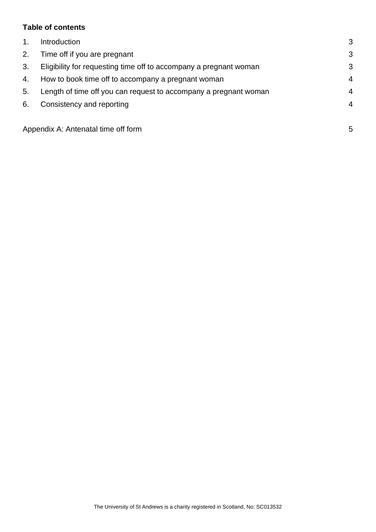# **Table of contents**

| 1 <sub>1</sub> | <b>Introduction</b>                                               | 3              |
|----------------|-------------------------------------------------------------------|----------------|
| 2.             | Time off if you are pregnant                                      | 3              |
| 3.             | Eligibility for requesting time off to accompany a pregnant woman |                |
| 4.             | How to book time off to accompany a pregnant woman                |                |
| 5.             | Length of time off you can request to accompany a pregnant woman  | $\overline{4}$ |
| 6.             | Consistency and reporting                                         | 4              |
|                |                                                                   |                |
|                | Appendix A: Antenatal time off form                               | 5              |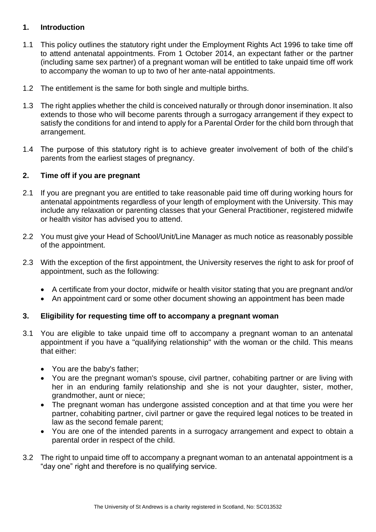## <span id="page-2-0"></span>**1. Introduction**

- 1.1 This policy outlines the statutory right under the Employment Rights Act 1996 to take time off to attend antenatal appointments. From 1 October 2014, an expectant father or the partner (including same sex partner) of a pregnant woman will be entitled to take unpaid time off work to accompany the woman to up to two of her ante-natal appointments.
- 1.2 The entitlement is the same for both single and multiple births.
- 1.3 The right applies whether the child is conceived naturally or through donor insemination. It also extends to those who will become parents through a surrogacy arrangement if they expect to satisfy the conditions for and intend to apply for a Parental Order for the child born through that arrangement.
- 1.4 The purpose of this statutory right is to achieve greater involvement of both of the child's parents from the earliest stages of pregnancy.

#### <span id="page-2-1"></span>**2. Time off if you are pregnant**

- 2.1 If you are pregnant you are entitled to take reasonable paid time off during working hours for antenatal appointments regardless of your length of employment with the University. This may include any relaxation or parenting classes that your General Practitioner, registered midwife or health visitor has advised you to attend.
- 2.2 You must give your Head of School/Unit/Line Manager as much notice as reasonably possible of the appointment.
- 2.3 With the exception of the first appointment, the University reserves the right to ask for proof of appointment, such as the following:
	- A certificate from your doctor, midwife or health visitor stating that you are pregnant and/or
	- An appointment card or some other document showing an appointment has been made

#### <span id="page-2-2"></span>**3. Eligibility for requesting time off to accompany a pregnant woman**

- 3.1 You are eligible to take unpaid time off to accompany a pregnant woman to an antenatal appointment if you have a "qualifying relationship" with the woman or the child. This means that either:
	- You are the baby's father;
	- You are the pregnant woman's spouse, civil partner, cohabiting partner or are living with her in an enduring family relationship and she is not your daughter, sister, mother, grandmother, aunt or niece;
	- The pregnant woman has undergone assisted conception and at that time you were her partner, cohabiting partner, civil partner or gave the required legal notices to be treated in law as the second female parent;
	- You are one of the intended parents in a surrogacy arrangement and expect to obtain a parental order in respect of the child.
- 3.2 The right to unpaid time off to accompany a pregnant woman to an antenatal appointment is a "day one" right and therefore is no qualifying service.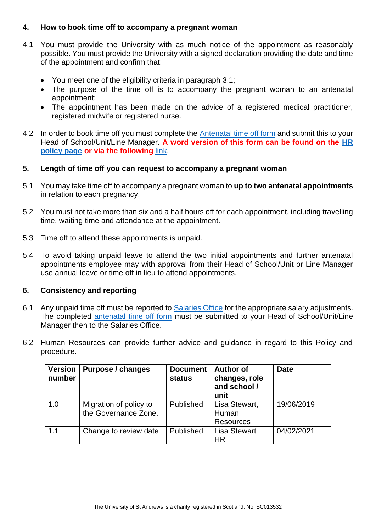#### <span id="page-3-0"></span>**4. How to book time off to accompany a pregnant woman**

- 4.1 You must provide the University with as much notice of the appointment as reasonably possible. You must provide the University with a signed declaration providing the date and time of the appointment and confirm that:
	- You meet one of the eligibility criteria in paragraph 3.1;
	- The purpose of the time off is to accompany the pregnant woman to an antenatal appointment;
	- The appointment has been made on the advice of a registered medical practitioner, registered midwife or registered nurse.
- 4.2 In order to book time off you must complete the [Antenatal time off form](#page-4-0) and submit this to your Head of School/Unit/Line Manager. **A word version of this form can be found on the [HR](https://www.st-andrews.ac.uk/staff/policy/hr/)  [policy page](https://www.st-andrews.ac.uk/staff/policy/hr/) or via the following** [link.](https://www.st-andrews.ac.uk/media/human-resources/new-policy-section-documents/antenatalappointments/Antenatal%20time%20off%20form.docx)

# <span id="page-3-1"></span>**5. Length of time off you can request to accompany a pregnant woman**

- 5.1 You may take time off to accompany a pregnant woman to **up to two antenatal appointments** in relation to each pregnancy.
- 5.2 You must not take more than six and a half hours off for each appointment, including travelling time, waiting time and attendance at the appointment.
- 5.3 Time off to attend these appointments is unpaid.
- 5.4 To avoid taking unpaid leave to attend the two initial appointments and further antenatal appointments employee may with approval from their Head of School/Unit or Line Manager use annual leave or time off in lieu to attend appointments.

#### <span id="page-3-2"></span>**6. Consistency and reporting**

- 6.1 Any unpaid time off must be reported to [Salaries Office](mailto:monthly-ns@st-andrews.ac.uk?subject=Payslip/P60%20request) for the appropriate salary adjustments. The completed [antenatal time off form](#page-4-0) must be submitted to your Head of School/Unit/Line Manager then to the Salaries Office.
- 6.2 Human Resources can provide further advice and guidance in regard to this Policy and procedure.

| <b>Version</b><br>number | Purpose / changes                              | <b>Document</b><br><b>status</b> | <b>Author of</b><br>changes, role<br>and school /<br>unit | <b>Date</b> |
|--------------------------|------------------------------------------------|----------------------------------|-----------------------------------------------------------|-------------|
| 1.0                      | Migration of policy to<br>the Governance Zone. | Published                        | Lisa Stewart,<br>Human<br><b>Resources</b>                | 19/06/2019  |
| 1.1                      | Change to review date                          | Published                        | <b>Lisa Stewart</b><br><b>HR</b>                          | 04/02/2021  |